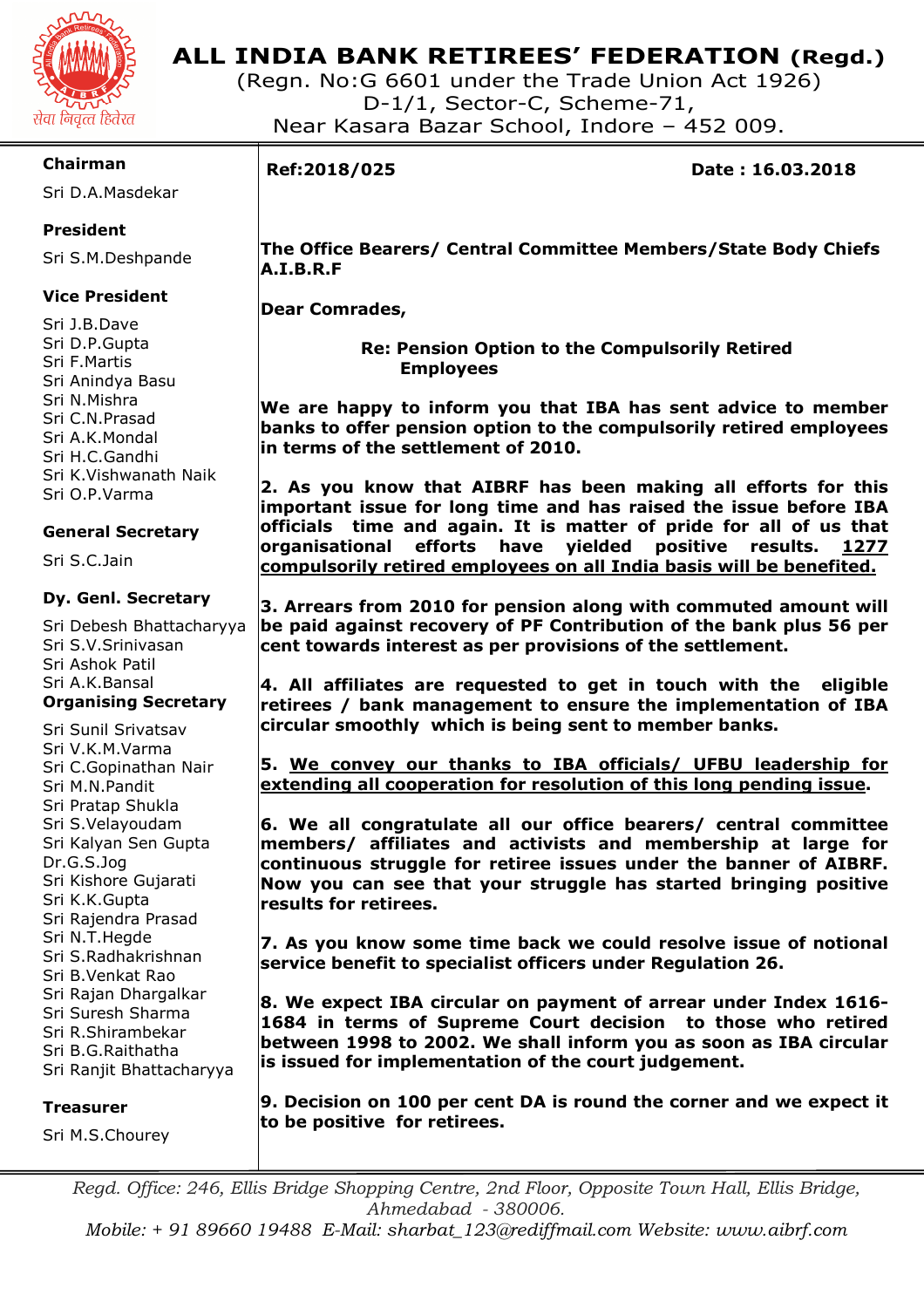

# **ALL INDIA BANK RETIREES' FEDERATION (Regd.)**

(Regn. No:G 6601 under the Trade Union Act 1926) D-1/1, Sector-C, Scheme-71, Near Kasara Bazar School, Indore – 452 009.

# **Chairman**

Sri D.A.Masdekar

# **President**

Sri S.M.Deshpande

# **Vice President**

Sri J.B.Dave Sri D.P.Gupta Sri F.Martis Sri Anindya Basu Sri N.Mishra Sri C.N.Prasad Sri A.K.Mondal Sri H.C.Gandhi Sri K.Vishwanath Naik Sri O.P.Varma

## **General Secretary**

Sri S.C.Jain

### **Dy. Genl. Secretary**

Sri Debesh Bhattacharyya Sri S.V.Srinivasan Sri Ashok Patil Sri A.K.Bansal **Organising Secretary** 

Sri Sunil Srivatsav Sri V.K.M.Varma Sri C.Gopinathan Nair Sri M.N.Pandit Sri Pratap Shukla Sri S.Velayoudam Sri Kalyan Sen Gupta Dr.G.S.Jog Sri Kishore Gujarati Sri K.K.Gupta Sri Rajendra Prasad Sri N.T.Hegde Sri S.Radhakrishnan Sri B.Venkat Rao Sri Rajan Dhargalkar Sri Suresh Sharma Sri R.Shirambekar Sri B.G.Raithatha Sri Ranjit Bhattacharyya

#### **Treasurer**

Sri M.S.Chourey

I

**Ref:2018/025 Date : 16.03.2018** 

 **The Office Bearers/ Central Committee Members/State Body Chiefs A.I.B.R.F** 

 **Dear Comrades,** 

 **Re: Pension Option to the Compulsorily Retired Employees** 

**We are happy to inform you that IBA has sent advice to member banks to offer pension option to the compulsorily retired employees in terms of the settlement of 2010.** 

**2. As you know that AIBRF has been making all efforts for this important issue for long time and has raised the issue before IBA officials time and again. It is matter of pride for all of us that organisational efforts have yielded positive results. 1277 compulsorily retired employees on all India basis will be benefited.** 

**3. Arrears from 2010 for pension along with commuted amount will be paid against recovery of PF Contribution of the bank plus 56 per cent towards interest as per provisions of the settlement.** 

**4. All affiliates are requested to get in touch with the eligible retirees / bank management to ensure the implementation of IBA circular smoothly which is being sent to member banks.** 

**5. We convey our thanks to IBA officials/ UFBU leadership for extending all cooperation for resolution of this long pending issue.** 

**6. We all congratulate all our office bearers/ central committee members/ affiliates and activists and membership at large for continuous struggle for retiree issues under the banner of AIBRF. Now you can see that your struggle has started bringing positive results for retirees.** 

**7. As you know some time back we could resolve issue of notional service benefit to specialist officers under Regulation 26.** 

**8. We expect IBA circular on payment of arrear under Index 1616- 1684 in terms of Supreme Court decision to those who retired between 1998 to 2002. We shall inform you as soon as IBA circular is issued for implementation of the court judgement.** 

**9. Decision on 100 per cent DA is round the corner and we expect it to be positive for retirees.** 

*Regd. Office: 246, Ellis Bridge Shopping Centre, 2nd Floor, Opposite Town Hall, Ellis Bridge, Ahmedabad - 380006.* 

*Mobile: + 91 89660 19488 E-Mail: sharbat\_123@rediffmail.com Website: www.aibrf.com*